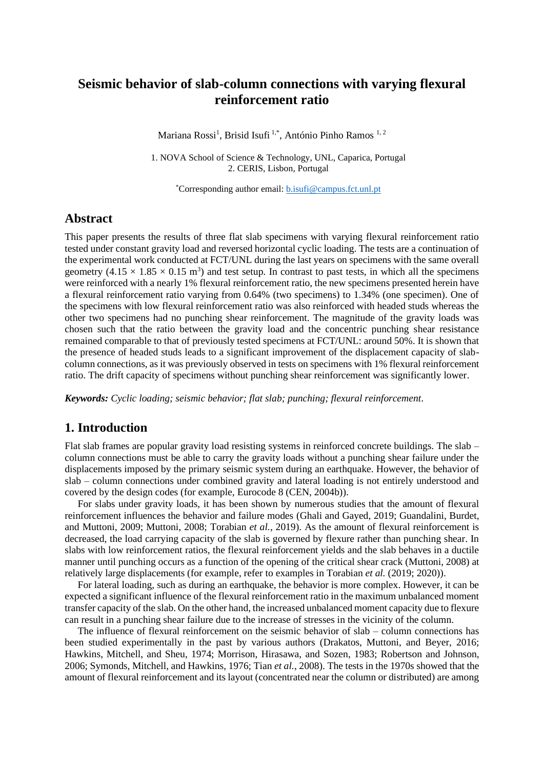# **Seismic behavior of slab-column connections with varying flexural reinforcement ratio**

Mariana Rossi<sup>1</sup>, Brisid Isufi<sup>1,\*</sup>, António Pinho Ramos <sup>1, 2</sup>

1. NOVA School of Science & Technology, UNL, Caparica, Portugal 2. CERIS, Lisbon, Portugal

\*Corresponding author email: [b.isufi@campus.fct.unl.pt](mailto:b.isufi@campus.fct.unl.pt)

# **Abstract**

This paper presents the results of three flat slab specimens with varying flexural reinforcement ratio tested under constant gravity load and reversed horizontal cyclic loading. The tests are a continuation of the experimental work conducted at FCT/UNL during the last years on specimens with the same overall geometry  $(4.15 \times 1.85 \times 0.15 \text{ m}^3)$  and test setup. In contrast to past tests, in which all the specimens were reinforced with a nearly 1% flexural reinforcement ratio, the new specimens presented herein have a flexural reinforcement ratio varying from 0.64% (two specimens) to 1.34% (one specimen). One of the specimens with low flexural reinforcement ratio was also reinforced with headed studs whereas the other two specimens had no punching shear reinforcement. The magnitude of the gravity loads was chosen such that the ratio between the gravity load and the concentric punching shear resistance remained comparable to that of previously tested specimens at FCT/UNL: around 50%. It is shown that the presence of headed studs leads to a significant improvement of the displacement capacity of slabcolumn connections, as it was previously observed in tests on specimens with 1% flexural reinforcement ratio. The drift capacity of specimens without punching shear reinforcement was significantly lower.

*Keywords: Cyclic loading; seismic behavior; flat slab; punching; flexural reinforcement.*

# **1. Introduction**

Flat slab frames are popular gravity load resisting systems in reinforced concrete buildings. The slab – column connections must be able to carry the gravity loads without a punching shear failure under the displacements imposed by the primary seismic system during an earthquake. However, the behavior of slab – column connections under combined gravity and lateral loading is not entirely understood and covered by the design codes (for example, Eurocode 8 (CEN, 2004b)).

For slabs under gravity loads, it has been shown by numerous studies that the amount of flexural reinforcement influences the behavior and failure modes (Ghali and Gayed, 2019; Guandalini, Burdet, and Muttoni, 2009; Muttoni, 2008; Torabian *et al.*, 2019). As the amount of flexural reinforcement is decreased, the load carrying capacity of the slab is governed by flexure rather than punching shear. In slabs with low reinforcement ratios, the flexural reinforcement yields and the slab behaves in a ductile manner until punching occurs as a function of the opening of the critical shear crack (Muttoni, 2008) at relatively large displacements (for example, refer to examples in Torabian *et al.* (2019; 2020)).

For lateral loading, such as during an earthquake, the behavior is more complex. However, it can be expected a significant influence of the flexural reinforcement ratio in the maximum unbalanced moment transfer capacity of the slab. On the other hand, the increased unbalanced moment capacity due to flexure can result in a punching shear failure due to the increase of stresses in the vicinity of the column.

The influence of flexural reinforcement on the seismic behavior of slab – column connections has been studied experimentally in the past by various authors (Drakatos, Muttoni, and Beyer, 2016; Hawkins, Mitchell, and Sheu, 1974; Morrison, Hirasawa, and Sozen, 1983; Robertson and Johnson, 2006; Symonds, Mitchell, and Hawkins, 1976; Tian *et al.*, 2008). The tests in the 1970s showed that the amount of flexural reinforcement and its layout (concentrated near the column or distributed) are among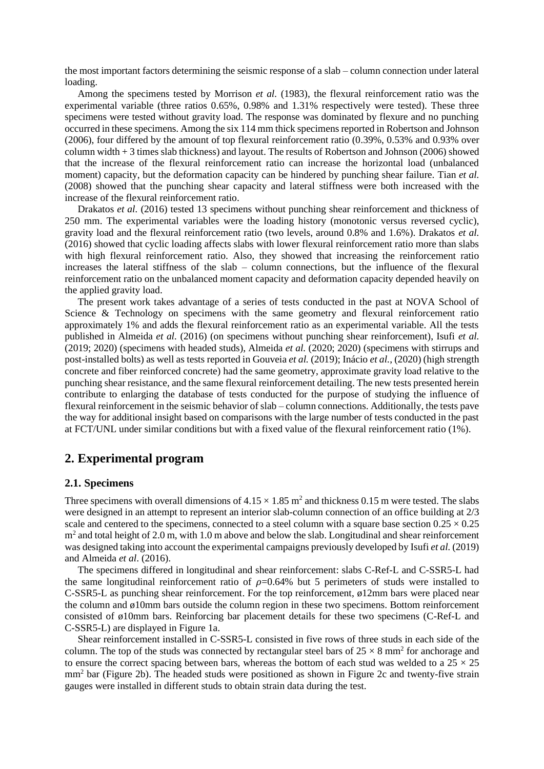the most important factors determining the seismic response of a slab – column connection under lateral loading.

Among the specimens tested by Morrison *et al.* (1983), the flexural reinforcement ratio was the experimental variable (three ratios 0.65%, 0.98% and 1.31% respectively were tested). These three specimens were tested without gravity load. The response was dominated by flexure and no punching occurred in these specimens. Among the six 114 mm thick specimens reported in Robertson and Johnson (2006), four differed by the amount of top flexural reinforcement ratio (0.39%, 0.53% and 0.93% over column width + 3 times slab thickness) and layout. The results of Robertson and Johnson (2006) showed that the increase of the flexural reinforcement ratio can increase the horizontal load (unbalanced moment) capacity, but the deformation capacity can be hindered by punching shear failure. Tian *et al.* (2008) showed that the punching shear capacity and lateral stiffness were both increased with the increase of the flexural reinforcement ratio.

Drakatos *et al.* (2016) tested 13 specimens without punching shear reinforcement and thickness of 250 mm. The experimental variables were the loading history (monotonic versus reversed cyclic), gravity load and the flexural reinforcement ratio (two levels, around 0.8% and 1.6%). Drakatos *et al.* (2016) showed that cyclic loading affects slabs with lower flexural reinforcement ratio more than slabs with high flexural reinforcement ratio. Also, they showed that increasing the reinforcement ratio increases the lateral stiffness of the slab – column connections, but the influence of the flexural reinforcement ratio on the unbalanced moment capacity and deformation capacity depended heavily on the applied gravity load.

The present work takes advantage of a series of tests conducted in the past at NOVA School of Science & Technology on specimens with the same geometry and flexural reinforcement ratio approximately 1% and adds the flexural reinforcement ratio as an experimental variable. All the tests published in Almeida *et al.* (2016) (on specimens without punching shear reinforcement), Isufi *et al.* (2019; 2020) (specimens with headed studs), Almeida *et al.* (2020; 2020) (specimens with stirrups and post-installed bolts) as well as tests reported in Gouveia *et al.* (2019); Inácio *et al.*, (2020) (high strength concrete and fiber reinforced concrete) had the same geometry, approximate gravity load relative to the punching shear resistance, and the same flexural reinforcement detailing. The new tests presented herein contribute to enlarging the database of tests conducted for the purpose of studying the influence of flexural reinforcement in the seismic behavior of slab – column connections. Additionally, the tests pave the way for additional insight based on comparisons with the large number of tests conducted in the past at FCT/UNL under similar conditions but with a fixed value of the flexural reinforcement ratio (1%).

### **2. Experimental program**

#### **2.1. Specimens**

Three specimens with overall dimensions of  $4.15 \times 1.85$  m<sup>2</sup> and thickness 0.15 m were tested. The slabs were designed in an attempt to represent an interior slab-column connection of an office building at 2/3 scale and centered to the specimens, connected to a steel column with a square base section  $0.25 \times 0.25$  $m<sup>2</sup>$  and total height of 2.0 m, with 1.0 m above and below the slab. Longitudinal and shear reinforcement was designed taking into account the experimental campaigns previously developed by Isufi *et al.* (2019) and Almeida *et al*. (2016).

The specimens differed in longitudinal and shear reinforcement: slabs C-Ref-L and C-SSR5-L had the same longitudinal reinforcement ratio of  $\rho = 0.64\%$  but 5 perimeters of studs were installed to C-SSR5-L as punching shear reinforcement. For the top reinforcement, ø12mm bars were placed near the column and ø10mm bars outside the column region in these two specimens. Bottom reinforcement consisted of ø10mm bars. Reinforcing bar placement details for these two specimens (C-Ref-L and C-SSR5-L) are displayed in Figure 1a.

Shear reinforcement installed in C-SSR5-L consisted in five rows of three studs in each side of the column. The top of the studs was connected by rectangular steel bars of  $25 \times 8$  mm<sup>2</sup> for anchorage and to ensure the correct spacing between bars, whereas the bottom of each stud was welded to a  $25 \times 25$ mm<sup>2</sup> bar (Figure 2b). The headed studs were positioned as shown in Figure 2c and twenty-five strain gauges were installed in different studs to obtain strain data during the test.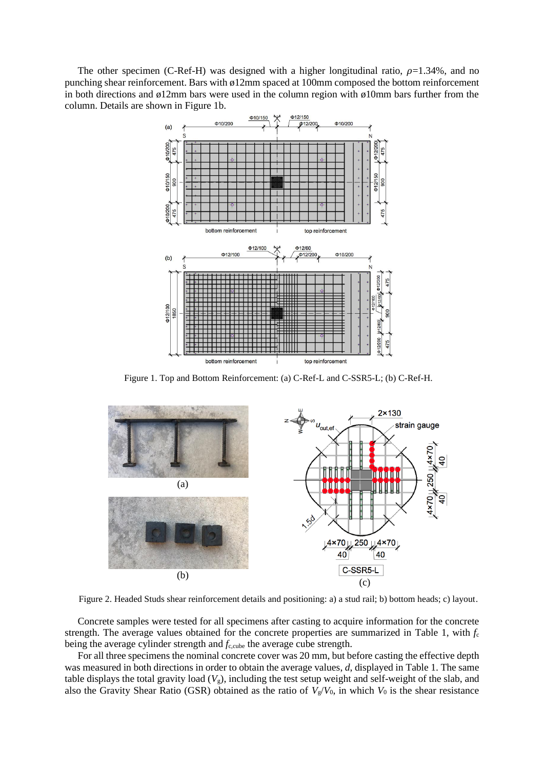The other specimen (C-Ref-H) was designed with a higher longitudinal ratio,  $\rho=1.34\%$ , and no punching shear reinforcement. Bars with ø12mm spaced at 100mm composed the bottom reinforcement in both directions and  $\phi$ 12mm bars were used in the column region with  $\phi$ 10mm bars further from the column. Details are shown in Figure 1b.



Figure 1. Top and Bottom Reinforcement: (a) C-Ref-L and C-SSR5-L; (b) C-Ref-H.



Figure 2. Headed Studs shear reinforcement details and positioning: a) a stud rail; b) bottom heads; c) layout.

Concrete samples were tested for all specimens after casting to acquire information for the concrete strength. The average values obtained for the concrete properties are summarized in Table 1, with  $f_c$ being the average cylinder strength and  $f_{c,\text{cube}}$  the average cube strength.

For all three specimens the nominal concrete cover was 20 mm, but before casting the effective depth was measured in both directions in order to obtain the average values, *d*, displayed in Table 1. The same table displays the total gravity load  $(V_g)$ , including the test setup weight and self-weight of the slab, and also the Gravity Shear Ratio (GSR) obtained as the ratio of  $V_g/V_0$ , in which  $V_0$  is the shear resistance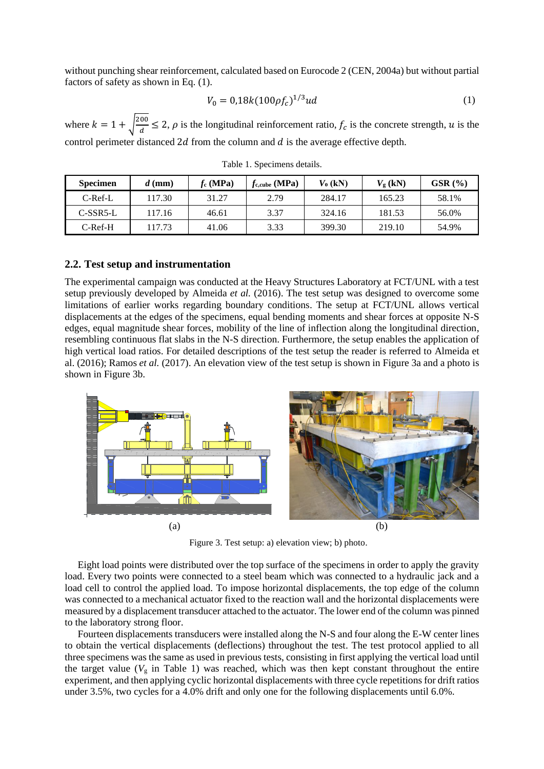without punching shear reinforcement, calculated based on Eurocode 2 (CEN, 2004a) but without partial factors of safety as shown in Eq. (1).

$$
V_0 = 0.18k(100\rho f_c)^{1/3}ud\tag{1}
$$

where  $k = 1 + \sqrt{\frac{200}{d}}$  $\frac{\partial z}{\partial d} \le 2$ ,  $\rho$  is the longitudinal reinforcement ratio,  $f_c$  is the concrete strength, u is the control perimeter distanced  $2d$  from the column and  $d$  is the average effective depth.

| <b>Specimen</b> | $d$ (mm) | $f_c(MPa)$ | $f_{c, cube}$ (MPa) | $V_0$ (kN) | $V_{\rm g}$ (kN) | $GSR$ $(\% )$ |
|-----------------|----------|------------|---------------------|------------|------------------|---------------|
| $C$ -Ref-L      | 117.30   | 31.27      | 2.79                | 284.17     | 165.23           | 58.1%         |
| $C-SSR5-L$      | 117.16   | 46.61      | 3.37                | 324.16     | 181.53           | 56.0%         |
| $C-Ref-H$       | 117.73   | 41.06      | 3.33                | 399.30     | 219.10           | 54.9%         |

Table 1. Specimens details.

#### **2.2. Test setup and instrumentation**

The experimental campaign was conducted at the Heavy Structures Laboratory at FCT/UNL with a test setup previously developed by Almeida *et al.* (2016). The test setup was designed to overcome some limitations of earlier works regarding boundary conditions. The setup at FCT/UNL allows vertical displacements at the edges of the specimens, equal bending moments and shear forces at opposite N-S edges, equal magnitude shear forces, mobility of the line of inflection along the longitudinal direction, resembling continuous flat slabs in the N-S direction. Furthermore, the setup enables the application of high vertical load ratios. For detailed descriptions of the test setup the reader is referred to Almeida et al. (2016); Ramos *et al.* (2017). An elevation view of the test setup is shown in Figure 3a and a photo is shown in Figure 3b.



Figure 3. Test setup: a) elevation view; b) photo.

Eight load points were distributed over the top surface of the specimens in order to apply the gravity load. Every two points were connected to a steel beam which was connected to a hydraulic jack and a load cell to control the applied load. To impose horizontal displacements, the top edge of the column was connected to a mechanical actuator fixed to the reaction wall and the horizontal displacements were measured by a displacement transducer attached to the actuator. The lower end of the column was pinned to the laboratory strong floor.

Fourteen displacements transducers were installed along the N-S and four along the E-W center lines to obtain the vertical displacements (deflections) throughout the test. The test protocol applied to all three specimens was the same as used in previous tests, consisting in first applying the vertical load until the target value  $(V<sub>g</sub>$  in Table 1) was reached, which was then kept constant throughout the entire experiment, and then applying cyclic horizontal displacements with three cycle repetitions for drift ratios under 3.5%, two cycles for a 4.0% drift and only one for the following displacements until 6.0%.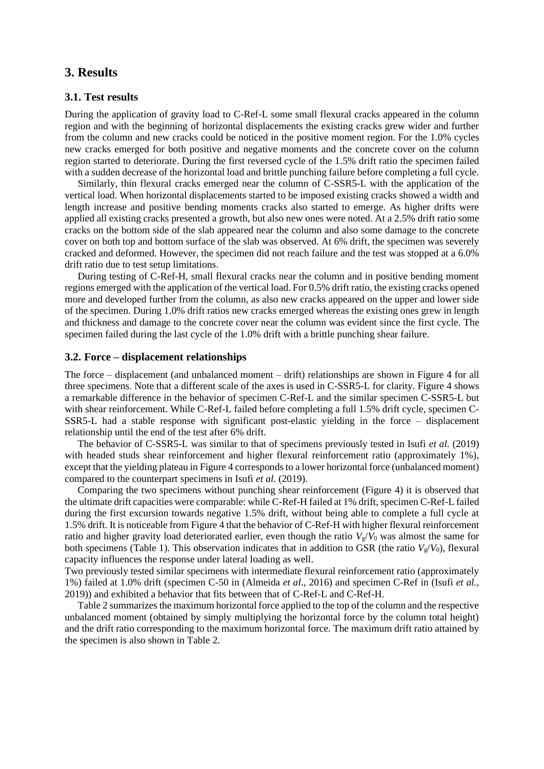# **3. Results**

#### **3.1. Test results**

During the application of gravity load to C-Ref-L some small flexural cracks appeared in the column region and with the beginning of horizontal displacements the existing cracks grew wider and further from the column and new cracks could be noticed in the positive moment region. For the 1.0% cycles new cracks emerged for both positive and negative moments and the concrete cover on the column region started to deteriorate. During the first reversed cycle of the 1.5% drift ratio the specimen failed with a sudden decrease of the horizontal load and brittle punching failure before completing a full cycle.

Similarly, thin flexural cracks emerged near the column of C-SSR5-L with the application of the vertical load. When horizontal displacements started to be imposed existing cracks showed a width and length increase and positive bending moments cracks also started to emerge. As higher drifts were applied all existing cracks presented a growth, but also new ones were noted. At a 2.5% drift ratio some cracks on the bottom side of the slab appeared near the column and also some damage to the concrete cover on both top and bottom surface of the slab was observed. At 6% drift, the specimen was severely cracked and deformed. However, the specimen did not reach failure and the test was stopped at a 6.0% drift ratio due to test setup limitations.

During testing of C-Ref-H, small flexural cracks near the column and in positive bending moment regions emerged with the application of the vertical load. For 0.5% drift ratio, the existing cracks opened more and developed further from the column, as also new cracks appeared on the upper and lower side of the specimen. During 1.0% drift ratios new cracks emerged whereas the existing ones grew in length and thickness and damage to the concrete cover near the column was evident since the first cycle. The specimen failed during the last cycle of the 1.0% drift with a brittle punching shear failure.

### **3.2. Force – displacement relationships**

The force – displacement (and unbalanced moment – drift) relationships are shown in Figure 4 for all three specimens. Note that a different scale of the axes is used in C-SSR5-L for clarity. Figure 4 shows a remarkable difference in the behavior of specimen C-Ref-L and the similar specimen C-SSR5-L but with shear reinforcement. While C-Ref-L failed before completing a full 1.5% drift cycle, specimen C-SSR5-L had a stable response with significant post-elastic yielding in the force – displacement relationship until the end of the test after 6% drift.

The behavior of C-SSR5-L was similar to that of specimens previously tested in Isufi *et al.* (2019) with headed studs shear reinforcement and higher flexural reinforcement ratio (approximately 1%), except that the yielding plateau in Figure 4 corresponds to a lower horizontal force (unbalanced moment) compared to the counterpart specimens in Isufi *et al.* (2019).

Comparing the two specimens without punching shear reinforcement (Figure 4) it is observed that the ultimate drift capacities were comparable: while C-Ref-H failed at 1% drift, specimen C-Ref-L failed during the first excursion towards negative 1.5% drift, without being able to complete a full cycle at 1.5% drift. It is noticeable from Figure 4 that the behavior of C-Ref-H with higher flexural reinforcement ratio and higher gravity load deteriorated earlier, even though the ratio  $V_g/V_0$  was almost the same for both specimens (Table 1). This observation indicates that in addition to GSR (the ratio  $V_g/V_0$ ), flexural capacity influences the response under lateral loading as well.

Two previously tested similar specimens with intermediate flexural reinforcement ratio (approximately 1%) failed at 1.0% drift (specimen C-50 in (Almeida *et al*., 2016) and specimen C-Ref in (Isufi *et al.*, 2019)) and exhibited a behavior that fits between that of C-Ref-L and C-Ref-H.

Table 2 summarizes the maximum horizontal force applied to the top of the column and the respective unbalanced moment (obtained by simply multiplying the horizontal force by the column total height) and the drift ratio corresponding to the maximum horizontal force. The maximum drift ratio attained by the specimen is also shown in Table 2.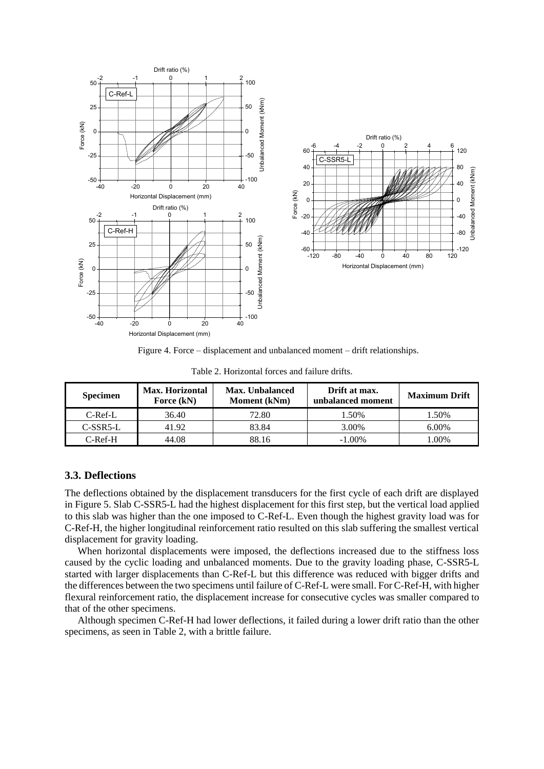

Figure 4. Force – displacement and unbalanced moment – drift relationships.

| Table 2. Horizontal forces and failure drifts. |  |
|------------------------------------------------|--|
|------------------------------------------------|--|

| <b>Specimen</b> | Max. Horizontal<br>Force (kN) | Max. Unbalanced<br>Moment (kNm) | Drift at max.<br>unbalanced moment | <b>Maximum Drift</b> |
|-----------------|-------------------------------|---------------------------------|------------------------------------|----------------------|
| $C$ -Ref-L      | 36.40                         | 72.80                           | 1.50%                              | 1.50%                |
| $C-SSR5-L$      | 41.92                         | 83.84                           | 3.00%                              | 6.00%                |
| $C-Ref-H$       | 44.08                         | 88.16                           | $-1.00\%$                          | .00%                 |

### **3.3. Deflections**

The deflections obtained by the displacement transducers for the first cycle of each drift are displayed in Figure 5. Slab C-SSR5-L had the highest displacement for this first step, but the vertical load applied to this slab was higher than the one imposed to C-Ref-L. Even though the highest gravity load was for C-Ref-H, the higher longitudinal reinforcement ratio resulted on this slab suffering the smallest vertical displacement for gravity loading.

When horizontal displacements were imposed, the deflections increased due to the stiffness loss caused by the cyclic loading and unbalanced moments. Due to the gravity loading phase, C-SSR5-L started with larger displacements than C-Ref-L but this difference was reduced with bigger drifts and the differences between the two specimens until failure of C-Ref-L were small. For C-Ref-H, with higher flexural reinforcement ratio, the displacement increase for consecutive cycles was smaller compared to that of the other specimens.

Although specimen C-Ref-H had lower deflections, it failed during a lower drift ratio than the other specimens, as seen in Table 2, with a brittle failure.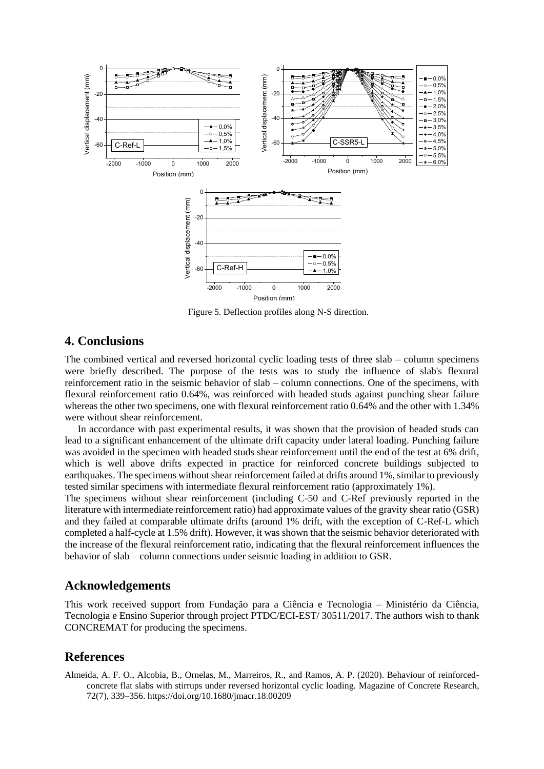

Figure 5. Deflection profiles along N-S direction.

# **4. Conclusions**

The combined vertical and reversed horizontal cyclic loading tests of three slab – column specimens were briefly described. The purpose of the tests was to study the influence of slab's flexural reinforcement ratio in the seismic behavior of slab – column connections. One of the specimens, with flexural reinforcement ratio 0.64%, was reinforced with headed studs against punching shear failure whereas the other two specimens, one with flexural reinforcement ratio 0.64% and the other with 1.34% were without shear reinforcement.

In accordance with past experimental results, it was shown that the provision of headed studs can lead to a significant enhancement of the ultimate drift capacity under lateral loading. Punching failure was avoided in the specimen with headed studs shear reinforcement until the end of the test at 6% drift, which is well above drifts expected in practice for reinforced concrete buildings subjected to earthquakes. The specimens without shear reinforcement failed at drifts around 1%, similar to previously tested similar specimens with intermediate flexural reinforcement ratio (approximately 1%).

The specimens without shear reinforcement (including C-50 and C-Ref previously reported in the literature with intermediate reinforcement ratio) had approximate values of the gravity shear ratio (GSR) and they failed at comparable ultimate drifts (around 1% drift, with the exception of C-Ref-L which completed a half-cycle at 1.5% drift). However, it was shown that the seismic behavior deteriorated with the increase of the flexural reinforcement ratio, indicating that the flexural reinforcement influences the behavior of slab – column connections under seismic loading in addition to GSR.

## **Acknowledgements**

This work received support from Fundação para a Ciência e Tecnologia – Ministério da Ciência, Tecnologia e Ensino Superior through project PTDC/ECI-EST/ 30511/2017. The authors wish to thank CONCREMAT for producing the specimens.

### **References**

Almeida, A. F. O., Alcobia, B., Ornelas, M., Marreiros, R., and Ramos, A. P. (2020). Behaviour of reinforcedconcrete flat slabs with stirrups under reversed horizontal cyclic loading. Magazine of Concrete Research, 72(7), 339–356. https://doi.org/10.1680/jmacr.18.00209